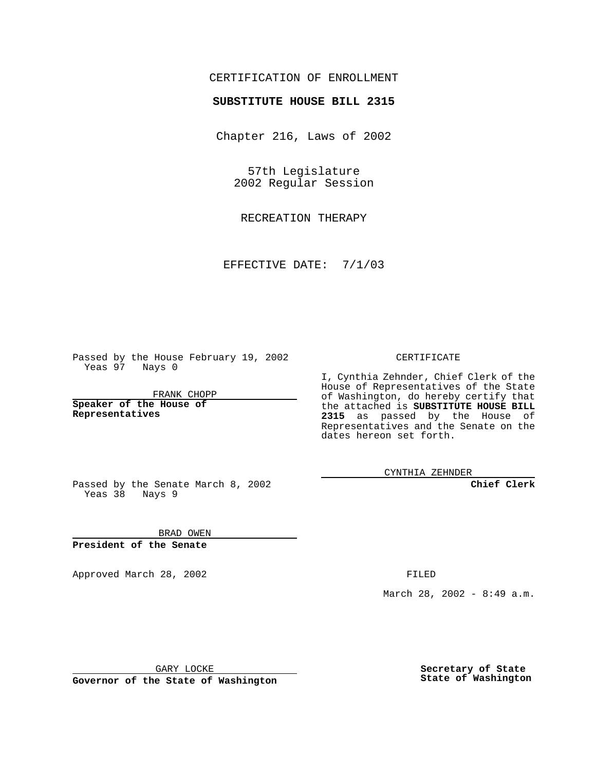## CERTIFICATION OF ENROLLMENT

## **SUBSTITUTE HOUSE BILL 2315**

Chapter 216, Laws of 2002

57th Legislature 2002 Regular Session

RECREATION THERAPY

EFFECTIVE DATE: 7/1/03

Passed by the House February 19, 2002 Yeas 97 Nays 0

FRANK CHOPP

**Speaker of the House of Representatives**

CERTIFICATE

I, Cynthia Zehnder, Chief Clerk of the House of Representatives of the State of Washington, do hereby certify that the attached is **SUBSTITUTE HOUSE BILL 2315** as passed by the House of Representatives and the Senate on the dates hereon set forth.

CYNTHIA ZEHNDER

**Chief Clerk**

Passed by the Senate March 8, 2002 Yeas 38 Nays 9

BRAD OWEN **President of the Senate**

Approved March 28, 2002 **FILED** 

March 28, 2002 - 8:49 a.m.

GARY LOCKE

**Governor of the State of Washington**

**Secretary of State State of Washington**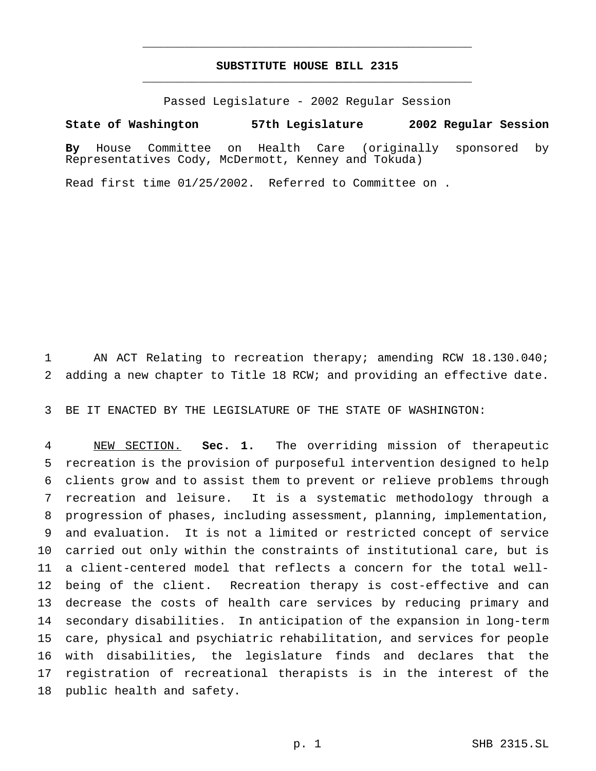## **SUBSTITUTE HOUSE BILL 2315** \_\_\_\_\_\_\_\_\_\_\_\_\_\_\_\_\_\_\_\_\_\_\_\_\_\_\_\_\_\_\_\_\_\_\_\_\_\_\_\_\_\_\_\_\_\_\_

\_\_\_\_\_\_\_\_\_\_\_\_\_\_\_\_\_\_\_\_\_\_\_\_\_\_\_\_\_\_\_\_\_\_\_\_\_\_\_\_\_\_\_\_\_\_\_

Passed Legislature - 2002 Regular Session

## **State of Washington 57th Legislature 2002 Regular Session**

**By** House Committee on Health Care (originally sponsored by Representatives Cody, McDermott, Kenney and Tokuda)

Read first time 01/25/2002. Referred to Committee on .

 AN ACT Relating to recreation therapy; amending RCW 18.130.040; adding a new chapter to Title 18 RCW; and providing an effective date.

BE IT ENACTED BY THE LEGISLATURE OF THE STATE OF WASHINGTON:

 NEW SECTION. **Sec. 1.** The overriding mission of therapeutic recreation is the provision of purposeful intervention designed to help clients grow and to assist them to prevent or relieve problems through recreation and leisure. It is a systematic methodology through a progression of phases, including assessment, planning, implementation, and evaluation. It is not a limited or restricted concept of service carried out only within the constraints of institutional care, but is a client-centered model that reflects a concern for the total well- being of the client. Recreation therapy is cost-effective and can decrease the costs of health care services by reducing primary and secondary disabilities. In anticipation of the expansion in long-term care, physical and psychiatric rehabilitation, and services for people with disabilities, the legislature finds and declares that the registration of recreational therapists is in the interest of the public health and safety.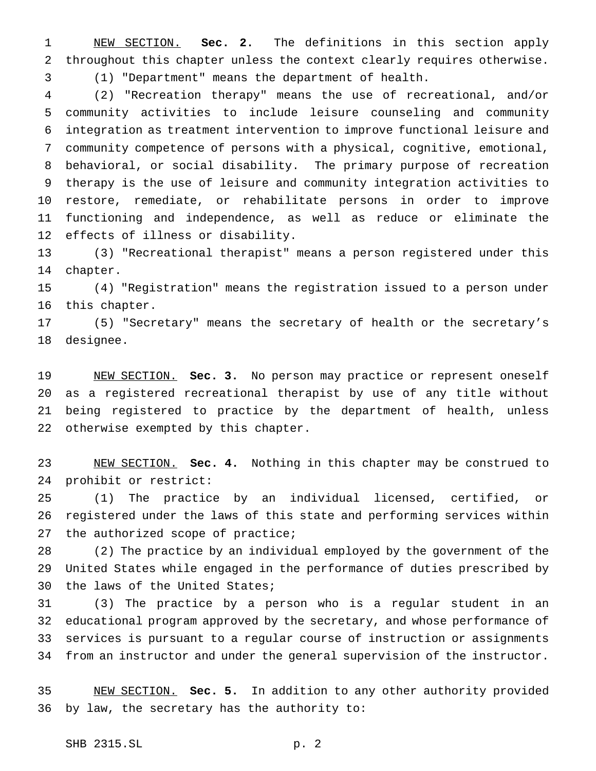NEW SECTION. **Sec. 2.** The definitions in this section apply throughout this chapter unless the context clearly requires otherwise. (1) "Department" means the department of health.

 (2) "Recreation therapy" means the use of recreational, and/or community activities to include leisure counseling and community integration as treatment intervention to improve functional leisure and community competence of persons with a physical, cognitive, emotional, behavioral, or social disability. The primary purpose of recreation therapy is the use of leisure and community integration activities to restore, remediate, or rehabilitate persons in order to improve functioning and independence, as well as reduce or eliminate the effects of illness or disability.

 (3) "Recreational therapist" means a person registered under this chapter.

 (4) "Registration" means the registration issued to a person under this chapter.

 (5) "Secretary" means the secretary of health or the secretary's designee.

 NEW SECTION. **Sec. 3.** No person may practice or represent oneself as a registered recreational therapist by use of any title without being registered to practice by the department of health, unless otherwise exempted by this chapter.

 NEW SECTION. **Sec. 4.** Nothing in this chapter may be construed to prohibit or restrict:

 (1) The practice by an individual licensed, certified, or registered under the laws of this state and performing services within 27 the authorized scope of practice;

 (2) The practice by an individual employed by the government of the United States while engaged in the performance of duties prescribed by the laws of the United States;

 (3) The practice by a person who is a regular student in an educational program approved by the secretary, and whose performance of services is pursuant to a regular course of instruction or assignments from an instructor and under the general supervision of the instructor.

 NEW SECTION. **Sec. 5.** In addition to any other authority provided by law, the secretary has the authority to: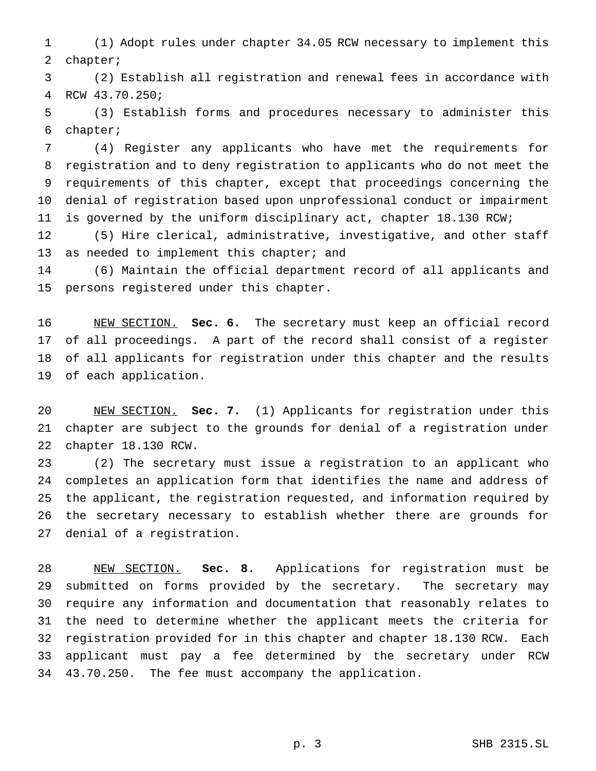(1) Adopt rules under chapter 34.05 RCW necessary to implement this chapter;

 (2) Establish all registration and renewal fees in accordance with RCW 43.70.250;

 (3) Establish forms and procedures necessary to administer this chapter;

 (4) Register any applicants who have met the requirements for registration and to deny registration to applicants who do not meet the requirements of this chapter, except that proceedings concerning the denial of registration based upon unprofessional conduct or impairment is governed by the uniform disciplinary act, chapter 18.130 RCW;

 (5) Hire clerical, administrative, investigative, and other staff 13 as needed to implement this chapter; and

 (6) Maintain the official department record of all applicants and persons registered under this chapter.

 NEW SECTION. **Sec. 6.** The secretary must keep an official record of all proceedings. A part of the record shall consist of a register of all applicants for registration under this chapter and the results of each application.

 NEW SECTION. **Sec. 7.** (1) Applicants for registration under this chapter are subject to the grounds for denial of a registration under chapter 18.130 RCW.

 (2) The secretary must issue a registration to an applicant who completes an application form that identifies the name and address of the applicant, the registration requested, and information required by the secretary necessary to establish whether there are grounds for denial of a registration.

 NEW SECTION. **Sec. 8.** Applications for registration must be submitted on forms provided by the secretary. The secretary may require any information and documentation that reasonably relates to the need to determine whether the applicant meets the criteria for registration provided for in this chapter and chapter 18.130 RCW. Each applicant must pay a fee determined by the secretary under RCW 43.70.250. The fee must accompany the application.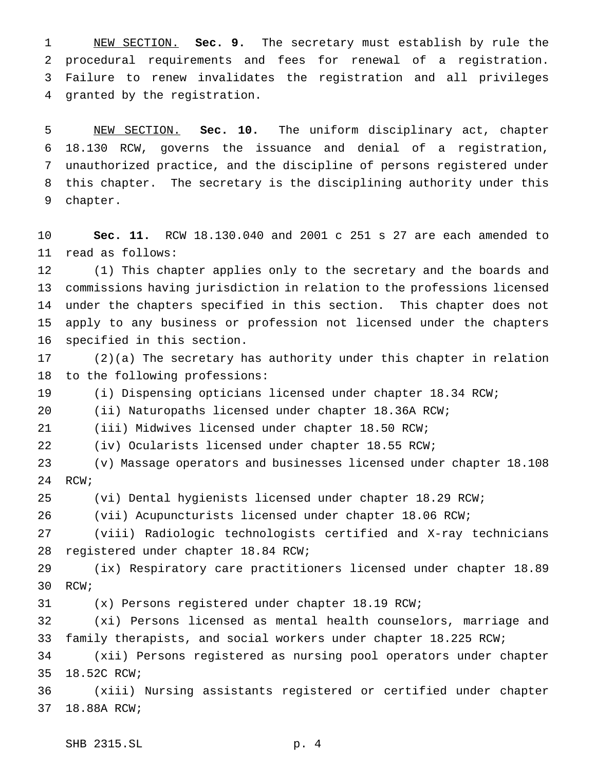NEW SECTION. **Sec. 9.** The secretary must establish by rule the procedural requirements and fees for renewal of a registration. Failure to renew invalidates the registration and all privileges granted by the registration.

 NEW SECTION. **Sec. 10.** The uniform disciplinary act, chapter 18.130 RCW, governs the issuance and denial of a registration, unauthorized practice, and the discipline of persons registered under this chapter. The secretary is the disciplining authority under this chapter.

 **Sec. 11.** RCW 18.130.040 and 2001 c 251 s 27 are each amended to read as follows:

 (1) This chapter applies only to the secretary and the boards and commissions having jurisdiction in relation to the professions licensed under the chapters specified in this section. This chapter does not apply to any business or profession not licensed under the chapters specified in this section.

 (2)(a) The secretary has authority under this chapter in relation to the following professions:

(i) Dispensing opticians licensed under chapter 18.34 RCW;

(ii) Naturopaths licensed under chapter 18.36A RCW;

(iii) Midwives licensed under chapter 18.50 RCW;

(iv) Ocularists licensed under chapter 18.55 RCW;

 (v) Massage operators and businesses licensed under chapter 18.108 RCW;

(vi) Dental hygienists licensed under chapter 18.29 RCW;

(vii) Acupuncturists licensed under chapter 18.06 RCW;

 (viii) Radiologic technologists certified and X-ray technicians registered under chapter 18.84 RCW;

 (ix) Respiratory care practitioners licensed under chapter 18.89 RCW;

(x) Persons registered under chapter 18.19 RCW;

 (xi) Persons licensed as mental health counselors, marriage and family therapists, and social workers under chapter 18.225 RCW;

 (xii) Persons registered as nursing pool operators under chapter 18.52C RCW;

 (xiii) Nursing assistants registered or certified under chapter 18.88A RCW;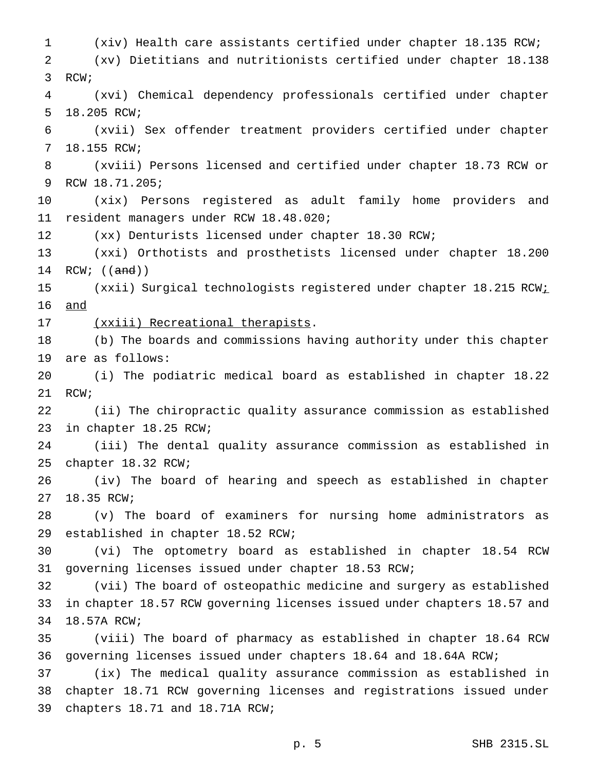(xiv) Health care assistants certified under chapter 18.135 RCW; (xv) Dietitians and nutritionists certified under chapter 18.138 RCW; (xvi) Chemical dependency professionals certified under chapter 18.205 RCW; (xvii) Sex offender treatment providers certified under chapter 18.155 RCW; (xviii) Persons licensed and certified under chapter 18.73 RCW or RCW 18.71.205; (xix) Persons registered as adult family home providers and resident managers under RCW 18.48.020; (xx) Denturists licensed under chapter 18.30 RCW; (xxi) Orthotists and prosthetists licensed under chapter 18.200 14 RCW; ((and)) 15 (xxii) Surgical technologists registered under chapter 18.215 RCW<sub>i</sub> and 17 (xxiii) Recreational therapists. (b) The boards and commissions having authority under this chapter are as follows: (i) The podiatric medical board as established in chapter 18.22 RCW; (ii) The chiropractic quality assurance commission as established in chapter 18.25 RCW; (iii) The dental quality assurance commission as established in chapter 18.32 RCW; (iv) The board of hearing and speech as established in chapter 18.35 RCW; (v) The board of examiners for nursing home administrators as established in chapter 18.52 RCW; (vi) The optometry board as established in chapter 18.54 RCW governing licenses issued under chapter 18.53 RCW; (vii) The board of osteopathic medicine and surgery as established in chapter 18.57 RCW governing licenses issued under chapters 18.57 and 18.57A RCW; (viii) The board of pharmacy as established in chapter 18.64 RCW governing licenses issued under chapters 18.64 and 18.64A RCW; (ix) The medical quality assurance commission as established in chapter 18.71 RCW governing licenses and registrations issued under chapters 18.71 and 18.71A RCW;